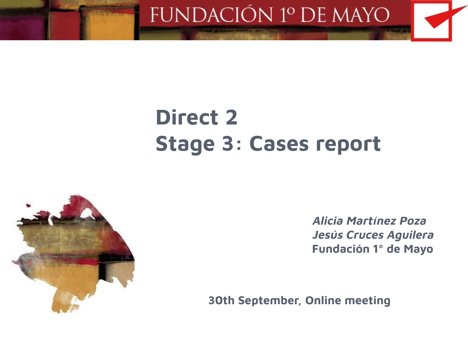

# **Direct 2 Stage 3: Cases report**



**Alicia Martínez Poza Jesús Cruces Aguilera Fundación 1º de Mayo**

**30th September, Online meeting**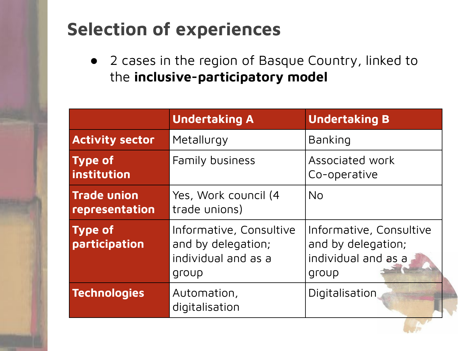# **Selection of experiences**

● 2 cases in the region of Basque Country, linked to the **inclusive-participatory model**

|                                      | <b>Undertaking A</b>                                                          | <b>Undertaking B</b>                                                          |
|--------------------------------------|-------------------------------------------------------------------------------|-------------------------------------------------------------------------------|
| <b>Activity sector</b>               | Metallurgy                                                                    | Banking                                                                       |
| <b>Type of</b><br>institution        | Family business                                                               | Associated work<br>Co-operative                                               |
| <b>Trade union</b><br>representation | Yes, Work council (4<br>trade unions)                                         | N <sub>O</sub>                                                                |
| Type of<br>participation             | Informative, Consultive<br>and by delegation;<br>individual and as a<br>group | Informative, Consultive<br>and by delegation;<br>individual and as a<br>group |
| <b>Technologies</b>                  | Automation,<br>digitalisation                                                 | Digitalisation                                                                |

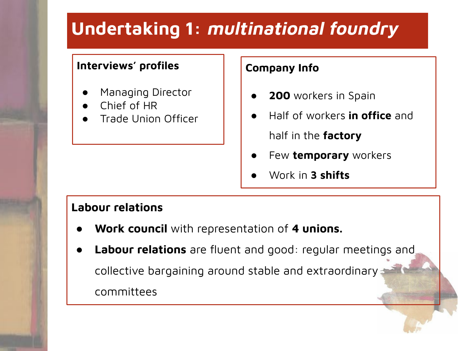### **Interviews' profiles**

- Managing Director
- Chief of HR
- Trade Union Officer

#### **Company Info**

- **●200** workers in Spain
- ● Half of workers **in office** and half in the **factory**
- ●Few **temporary** workers
- **●**Work in **3 shifts**

### **Labour relations**

- **● Work council** with representation of **4 unions.**
- **Labour relations** are fluent and good: regular meetings and collective bargaining around stable and extraordinary committees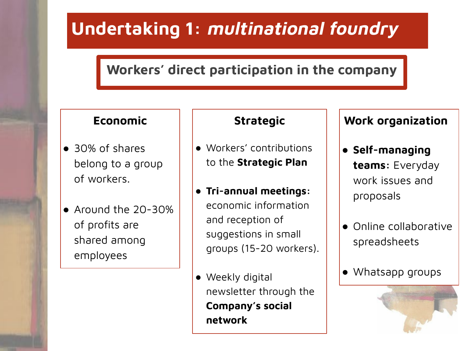## **Workers' direct participation in the company**

### **Economic**

- 30% of shares belong to a group of workers.
- Around the 20-30% of profits are shared among employees

### **Strategic**

- Workers' contributions to the **Strategic Plan**
- **Tri-annual meetings:** economic information and reception of suggestions in small groups (15-20 workers).
- Weekly digital newsletter through the **Company's social network**

### **Work organization**

- **Self-managing teams:** Everyday work issues and proposals
- Online collaborative spreadsheets
- Whatsapp groups

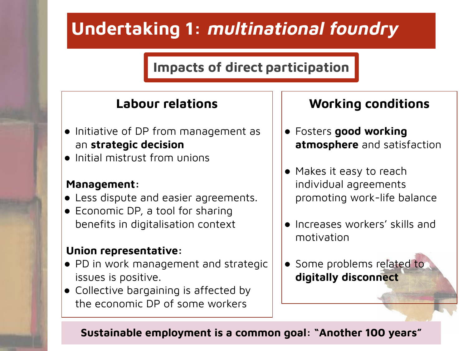## **Impacts of direct participation**

### **Labour relations**

- Initiative of DP from management as an **strategic decision**
- Initial mistrust from unions

### **Management:**

- Less dispute and easier agreements.
- Economic DP, a tool for sharing benefits in digitalisation context

### **Union representative:**

- PD in work management and strategic issues is positive.
- **●** Collective bargaining is affected by the economic DP of some workers

### **Working conditions**

- Fosters **good working atmosphere** and satisfaction
- Makes it easy to reach individual agreements promoting work-life balance
- Increases workers' skills and motivation
- Some problems related to **digitally disconnect**

### **Sustainable employment is a common goal: "Another 100 years"**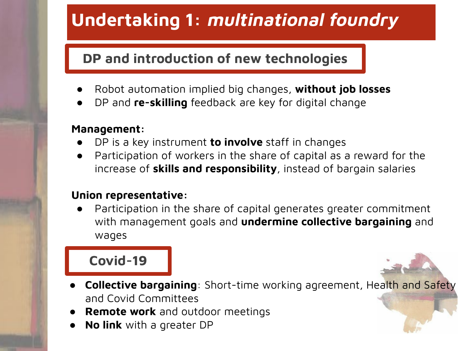## **DP and introduction of new technologies**

- Robot automation implied big changes, **without job losses**
- DP and **re-skilling** feedback are key for digital change

### **Management:**

- DP is a key instrument **to involve** staff in changes
- Participation of workers in the share of capital as a reward for the increase of **skills and responsibility**, instead of bargain salaries

### **Union representative:**

Participation in the share of capital generates greater commitment with management goals and **undermine collective bargaining** and wages

### **Covid-19**

- **Collective bargaining**: Short-time working agreement, Health and Safety and Covid Committees
- **Remote work** and outdoor meetings
- **No link** with a greater DP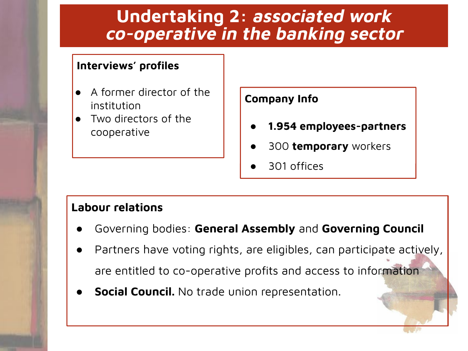### **Interviews' profiles**

- A former director of the institution
- Two directors of the cooperative

### **Company Info**

- **●1.954 employees-partners**
- ●300 **temporary** workers
- **●**301 offices

#### **Labour relations**

- Governing bodies: **General Assembly** and **Governing Council**
- Partners have voting rights, are eligibles, can participate actively, are entitled to co-operative profits and access to information
- **Social Council.** No trade union representation.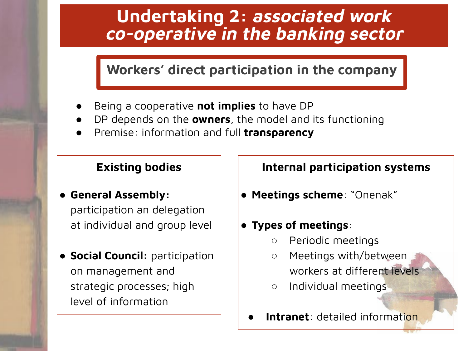## **Workers' direct participation in the company**

- Being a cooperative **not implies** to have DP
- DP depends on the **owners**, the model and its functioning
- Premise: information and full **transparency**

### **Existing bodies**

### ● **General Assembly:**

participation an delegation at individual and group level

● **Social Council:** participation on management and strategic processes; high level of information

### **Internal participation systems**

● **Meetings scheme**: "Onenak"

### ● **Types of meetings**:

- Periodic meetings
- Meetings with/between workers at different levels
- Individual meetings
- **Intranet**: detailed information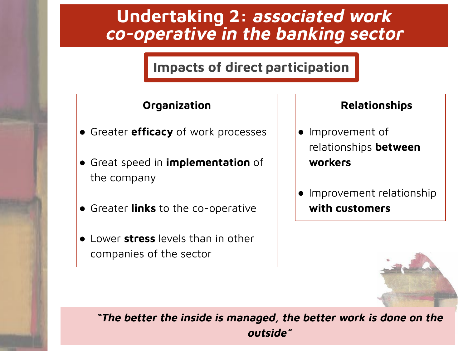## **Impacts of direct participation**

#### **Organization**

- Greater **efficacy** of work processes
- Great speed in **implementation** of the company
- Greater **links** to the co-operative
- Lower **stress** levels than in other companies of the sector

### **Relationships**

- Improvement of relationships **between workers**
- Improvement relationship **with customers**



**"The better the inside is managed, the better work is done on the outside"**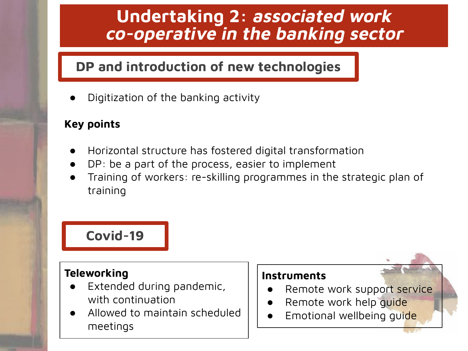## **DP and introduction of new technologies**

Digitization of the banking activity

### **Key points**

- Horizontal structure has fostered digital transformation
- $DP:$  be a part of the process, easier to implement
- Training of workers: re-skilling programmes in the strategic plan of training

**Covid-19**

### **Teleworking**

- Extended during pandemic, with continuation
- Allowed to maintain scheduled meetings

### **Instruments**

- Remote work support service
- Remote work help quide
- Emotional wellbeing quide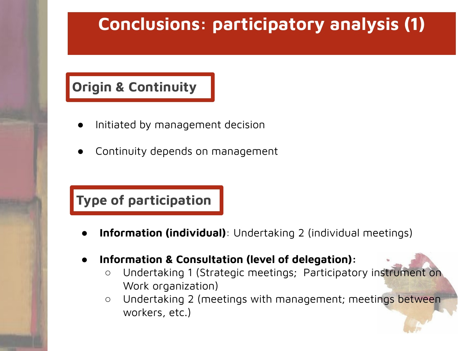# **Conclusions: participatory analysis (1)**

### **Origin & Continuity**

- Initiated by management decision
- Continuity depends on management

## **Type of participation**

- **Information (individual)**: Undertaking 2 (individual meetings)
- **Information & Consultation (level of delegation):**
	- Undertaking 1 (Strategic meetings; Participatory instrument on Work organization)
	- Undertaking 2 (meetings with management; meetings between workers, etc.)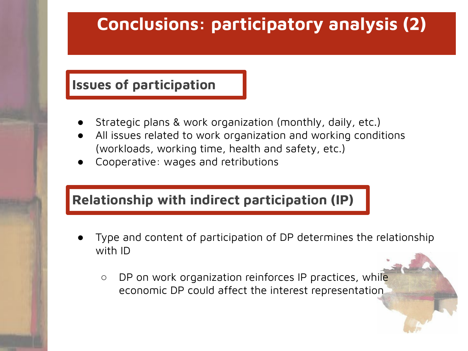# **Conclusions: participatory analysis (2)**

### **Issues of participation**

- Strategic plans & work organization (monthly, daily, etc.)
- All issues related to work organization and working conditions (workloads, working time, health and safety, etc.)
- Cooperative: wages and retributions

### **Relationship with indirect participation (IP)**

- Type and content of participation of DP determines the relationship with ID
	- o DP on work organization reinforces IP practices, while economic DP could affect the interest representation